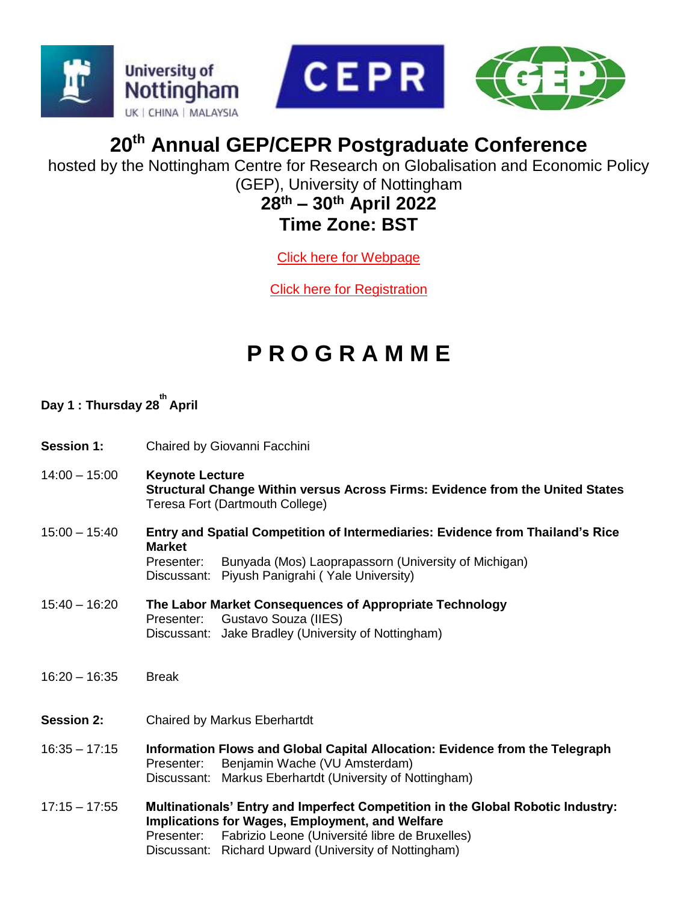



## **20th Annual GEP/CEPR Postgraduate Conference**

hosted by the Nottingham Centre for Research on Globalisation and Economic Policy (GEP), University of Nottingham

#### **28th – 30th April 2022 Time Zone: BST**

[Click here for Webpage](https://www.nottingham.ac.uk/gep/news-events/conferences/2021-22/postgrad-conference-2022.aspx)

[Click here for Registration](https://zoom.us/meeting/register/tJwkceCtpjwiHtJz-I-K2KhsOx-JTLP63LDP)

# **P R O G R A M M E**

#### **Day 1 : Thursday 28 th April**

- **Session 1:** Chaired by Giovanni Facchini
- 14:00 15:00 **Keynote Lecture Structural Change Within versus Across Firms: Evidence from the United States** Teresa Fort (Dartmouth College)
- 15:00 15:40 **Entry and Spatial Competition of Intermediaries: Evidence from Thailand's Rice Market** Presenter: Bunyada (Mos) Laoprapassorn (University of Michigan) Discussant: Piyush Panigrahi ( Yale University)
- 15:40 16:20 **The Labor Market Consequences of Appropriate Technology** Presenter:Gustavo Souza (IIES) Discussant: Jake Bradley (University of Nottingham)
- 16:20 16:35 Break
- **Session 2:** Chaired by Markus Eberhartdt
- 16:35 17:15 **Information Flows and Global Capital Allocation: Evidence from the Telegraph** Presenter:Benjamin Wache (VU Amsterdam) Discussant: Markus Eberhartdt (University of Nottingham)
- 17:15 17:55 **Multinationals' Entry and Imperfect Competition in the Global Robotic Industry: Implications for Wages, Employment, and Welfare** Presenter:Fabrizio Leone (Université libre de Bruxelles) Discussant: Richard Upward (University of Nottingham)